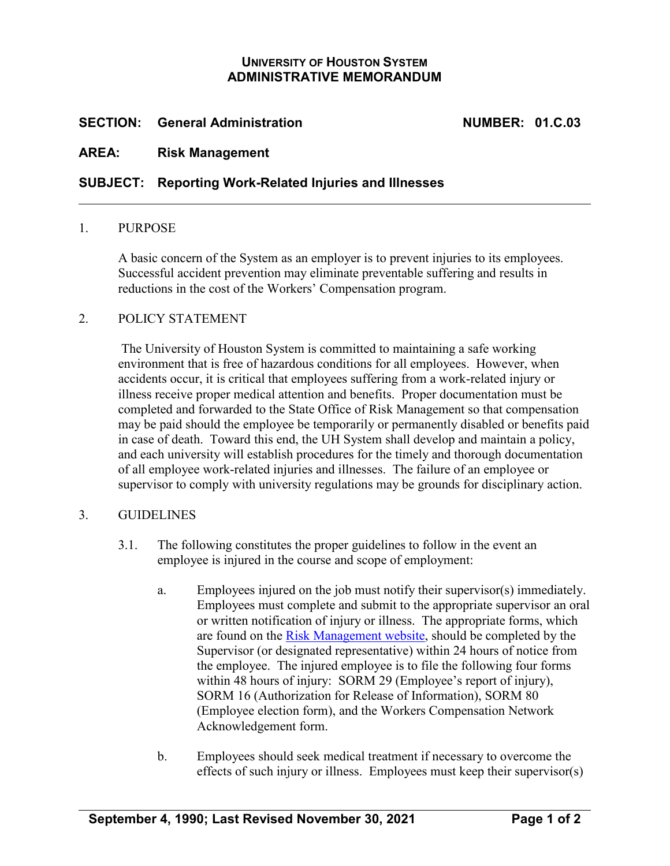# **UNIVERSITY OF HOUSTON SYSTEM ADMINISTRATIVE MEMORANDUM**

# **SECTION: General Administration NUMBER: 01.C.03**

# **AREA: Risk Management**

### **SUBJECT: Reporting Work-Related Injuries and Illnesses**

#### 1. PURPOSE

A basic concern of the System as an employer is to prevent injuries to its employees. Successful accident prevention may eliminate preventable suffering and results in reductions in the cost of the Workers' Compensation program.

### 2. POLICY STATEMENT

The University of Houston System is committed to maintaining a safe working environment that is free of hazardous conditions for all employees. However, when accidents occur, it is critical that employees suffering from a work-related injury or illness receive proper medical attention and benefits. Proper documentation must be completed and forwarded to the State Office of Risk Management so that compensation may be paid should the employee be temporarily or permanently disabled or benefits paid in case of death. Toward this end, the UH System shall develop and maintain a policy, and each university will establish procedures for the timely and thorough documentation of all employee work-related injuries and illnesses. The failure of an employee or supervisor to comply with university regulations may be grounds for disciplinary action.

### 3. GUIDELINES

- 3.1. The following constitutes the proper guidelines to follow in the event an employee is injured in the course and scope of employment:
	- a. Employees injured on the job must notify their supervisor(s) immediately. Employees must complete and submit to the appropriate supervisor an oral or written notification of injury or illness. The appropriate forms, which are found on the [Risk Management website,](https://uh.edu/risk-management/workers-compensation/workers-compensation-claim/) should be completed by the Supervisor (or designated representative) within 24 hours of notice from the employee. The injured employee is to file the following four forms within 48 hours of injury: SORM 29 (Employee's report of injury), SORM 16 (Authorization for Release of Information), SORM 80 (Employee election form), and the Workers Compensation Network Acknowledgement form.
	- b. Employees should seek medical treatment if necessary to overcome the effects of such injury or illness. Employees must keep their supervisor(s)